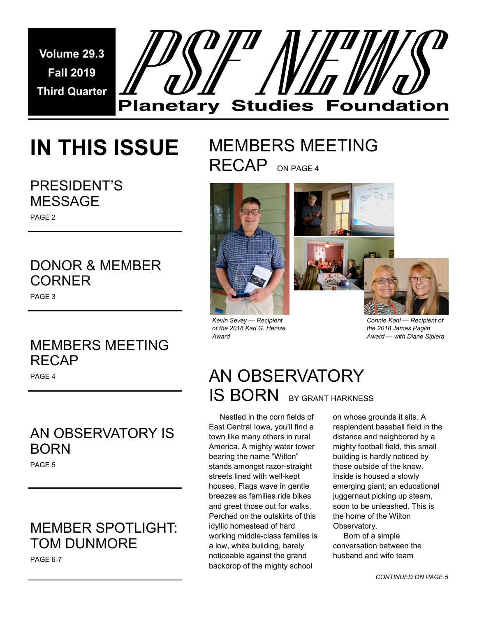**Volume 29.3 Fall 2019 Third Quarter** 



# **IN THIS ISSUE**

# PRESIDENT'S MESSAGE

# PAGE 2

# DONOR & MEMBER **CORNER**

PAGE 3

# MEMBERS MEETING RECAP

PAGE 4

# AN OBSERVATORY IS BORN

PAGE 5

# MEMBER SPOTLIGHT: TOM DUNMORE

PAGE 6-7

# MEMBERS MEETING RECAP ON PAGE 4



*Kevin Sevey — Recipient of the 2018 Karl G. Henize Award* 



*Connie Kahl — Recipient of the 2018 James Paglin Award — with Diane Sipiera* 

# AN OBSERVATORY **IS BORN** BY GRANT HARKNESS

 Nestled in the corn fields of East Central Iowa, you'll find a town like many others in rural America. A mighty water tower bearing the name "Wilton" stands amongst razor-straight streets lined with well-kept houses. Flags wave in gentle breezes as families ride bikes and greet those out for walks. Perched on the outskirts of this idyllic homestead of hard working middle-class families is a low, white building, barely noticeable against the grand backdrop of the mighty school

on whose grounds it sits. A resplendent baseball field in the distance and neighbored by a mighty football field, this small building is hardly noticed by those outside of the know. Inside is housed a slowly emerging giant; an educational juggernaut picking up steam, soon to be unleashed. This is the home of the Wilton Observatory.

 Born of a simple conversation between the husband and wife team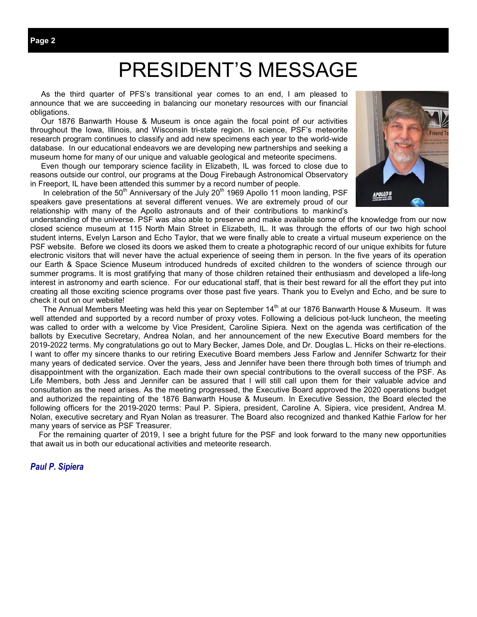# PRESIDENT'S MESSAGE

 As the third quarter of PFS's transitional year comes to an end, I am pleased to announce that we are succeeding in balancing our monetary resources with our financial obligations.

 Our 1876 Banwarth House & Museum is once again the focal point of our activities throughout the Iowa, Illinois, and Wisconsin tri-state region. In science, PSF's meteorite research program continues to classify and add new specimens each year to the world-wide database. In our educational endeavors we are developing new partnerships and seeking a museum home for many of our unique and valuable geological and meteorite specimens.

 Even though our temporary science facility in Elizabeth, IL was forced to close due to reasons outside our control, our programs at the Doug Firebaugh Astronomical Observatory in Freeport, IL have been attended this summer by a record number of people.

In celebration of the 50<sup>th</sup> Anniversary of the July 20<sup>th</sup> 1969 Apollo 11 moon landing, PSF speakers gave presentations at several different venues. We are extremely proud of our relationship with many of the Apollo astronauts and of their contributions to mankind's



understanding of the universe. PSF was also able to preserve and make available some of the knowledge from our now closed science museum at 115 North Main Street in Elizabeth, IL. It was through the efforts of our two high school student interns, Evelyn Larson and Echo Taylor, that we were finally able to create a virtual museum experience on the PSF website. Before we closed its doors we asked them to create a photographic record of our unique exhibits for future electronic visitors that will never have the actual experience of seeing them in person. In the five years of its operation our Earth & Space Science Museum introduced hundreds of excited children to the wonders of science through our summer programs. It is most gratifying that many of those children retained their enthusiasm and developed a life-long interest in astronomy and earth science. For our educational staff, that is their best reward for all the effort they put into creating all those exciting science programs over those past five years. Thank you to Evelyn and Echo, and be sure to check it out on our website!

The Annual Members Meeting was held this year on September 14<sup>th</sup> at our 1876 Banwarth House & Museum. It was well attended and supported by a record number of proxy votes. Following a delicious pot-luck luncheon, the meeting was called to order with a welcome by Vice President, Caroline Sipiera. Next on the agenda was certification of the ballots by Executive Secretary, Andrea Nolan, and her announcement of the new Executive Board members for the 2019-2022 terms. My congratulations go out to Mary Becker, James Dole, and Dr. Douglas L. Hicks on their re-elections. I want to offer my sincere thanks to our retiring Executive Board members Jess Farlow and Jennifer Schwartz for their many years of dedicated service. Over the years, Jess and Jennifer have been there through both times of triumph and disappointment with the organization. Each made their own special contributions to the overall success of the PSF. As Life Members, both Jess and Jennifer can be assured that I will still call upon them for their valuable advice and consultation as the need arises. As the meeting progressed, the Executive Board approved the 2020 operations budget and authorized the repainting of the 1876 Banwarth House & Museum. In Executive Session, the Board elected the following officers for the 2019-2020 terms: Paul P. Sipiera, president, Caroline A. Sipiera, vice president, Andrea M. Nolan, executive secretary and Ryan Nolan as treasurer. The Board also recognized and thanked Kathie Farlow for her many years of service as PSF Treasurer.

 For the remaining quarter of 2019, I see a bright future for the PSF and look forward to the many new opportunities that await us in both our educational activities and meteorite research.

### *Paul P. Sipiera*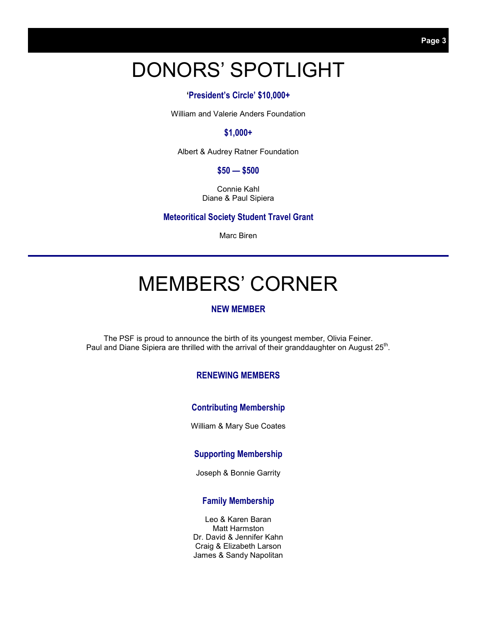# DONORS' SPOTLIGHT

### **'President's Circle' \$10,000+**

William and Valerie Anders Foundation

### **\$1,000+**

Albert & Audrey Ratner Foundation

#### **\$50 — \$500**

Connie Kahl Diane & Paul Sipiera

**Meteoritical Society Student Travel Grant** 

Marc Biren

# MEMBERS' CORNER

#### **NEW MEMBER**

The PSF is proud to announce the birth of its youngest member, Olivia Feiner. Paul and Diane Sipiera are thrilled with the arrival of their granddaughter on August 25<sup>th</sup>.

### **RENEWING MEMBERS**

### **Contributing Membership**

William & Mary Sue Coates

#### **Supporting Membership**

Joseph & Bonnie Garrity

#### **Family Membership**

Leo & Karen Baran Matt Harmston Dr. David & Jennifer Kahn Craig & Elizabeth Larson James & Sandy Napolitan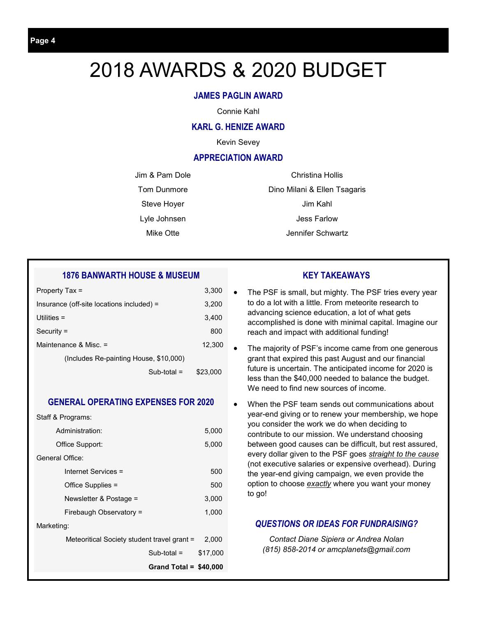# 2018 AWARDS & 2020 BUDGET

## **JAMES PAGLIN AWARD**

Connie Kahl

#### **KARL G. HENIZE AWARD**

Kevin Sevey

#### **APPRECIATION AWARD**

Jim & Pam Dole Tom Dunmore

Steve Hoyer

Lyle Johnsen

Mike Otte

Christina Hollis Dino Milani & Ellen Tsagaris Jim Kahl Jess Farlow Jennifer Schwartz

## **1876 BANWARTH HOUSE & MUSEUM**

| Property Tax =                            | 3,300    |
|-------------------------------------------|----------|
| Insurance (off-site locations included) = | 3,200    |
| Utilities $=$                             | 3,400    |
| $Security =$                              | 800      |
| Maintenance & Misc. =                     | 12,300   |
| (Includes Re-painting House, \$10,000)    |          |
| $Sub$ -total =                            | \$23,000 |

### **GENERAL OPERATING EXPENSES FOR 2020**

Staff & Programs:

| Administration:                             | 5,000    |
|---------------------------------------------|----------|
| Office Support:                             | 5,000    |
| General Office:                             |          |
| Internet Services =                         | 500      |
| Office Supplies =                           | 500      |
| Newsletter & Postage =                      | 3,000    |
| Firebaugh Observatory =                     | 1,000    |
| Marketing:                                  |          |
| Meteoritical Society student travel grant = | 2.000    |
| $Sub$ -total =                              | \$17,000 |
| Grand Total = $$40,000$                     |          |
|                                             |          |

## **KEY TAKEAWAYS**

- The PSF is small, but mighty. The PSF tries every year to do a lot with a little. From meteorite research to advancing science education, a lot of what gets accomplished is done with minimal capital. Imagine our reach and impact with additional funding!
- The majority of PSF's income came from one generous grant that expired this past August and our financial future is uncertain. The anticipated income for 2020 is less than the \$40,000 needed to balance the budget. We need to find new sources of income.
- When the PSF team sends out communications about year-end giving or to renew your membership, we hope you consider the work we do when deciding to contribute to our mission. We understand choosing between good causes can be difficult, but rest assured, every dollar given to the PSF goes *straight to the cause* (not executive salaries or expensive overhead). During the year-end giving campaign, we even provide the option to choose *exactly* where you want your money to go!

### *QUESTIONS OR IDEAS FOR FUNDRAISING?*

*Contact Diane Sipiera or Andrea Nolan (815) 858-2014 or amcplanets@gmail.com*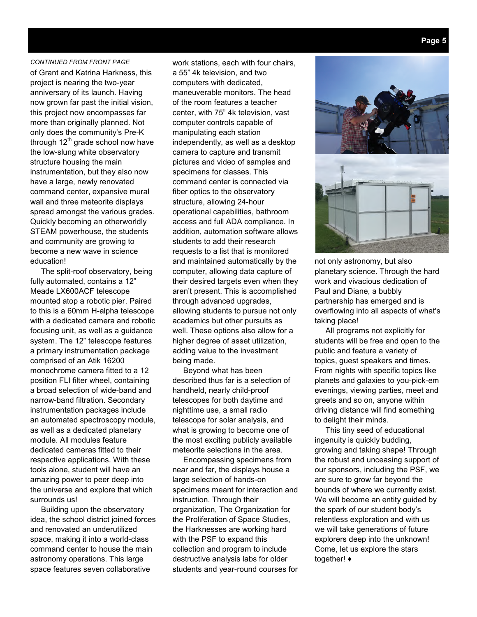#### *CONTINUED FROM FRONT PAGE*

of Grant and Katrina Harkness, this project is nearing the two-year anniversary of its launch. Having now grown far past the initial vision, this project now encompasses far more than originally planned. Not only does the community's Pre-K through  $12<sup>th</sup>$  grade school now have the low-slung white observatory structure housing the main instrumentation, but they also now have a large, newly renovated command center, expansive mural wall and three meteorite displays spread amongst the various grades. Quickly becoming an otherworldly STEAM powerhouse, the students and community are growing to become a new wave in science education!

 The split-roof observatory, being fully automated, contains a 12" Meade LX600ACF telescope mounted atop a robotic pier. Paired to this is a 60mm H-alpha telescope with a dedicated camera and robotic focusing unit, as well as a guidance system. The 12" telescope features a primary instrumentation package comprised of an Atik 16200 monochrome camera fitted to a 12 position FLI filter wheel, containing a broad selection of wide-band and narrow-band filtration. Secondary instrumentation packages include an automated spectroscopy module, as well as a dedicated planetary module. All modules feature dedicated cameras fitted to their respective applications. With these tools alone, student will have an amazing power to peer deep into the universe and explore that which surrounds us!

 Building upon the observatory idea, the school district joined forces and renovated an underutilized space, making it into a world-class command center to house the main astronomy operations. This large space features seven collaborative

work stations, each with four chairs, a 55" 4k television, and two computers with dedicated, maneuverable monitors. The head of the room features a teacher center, with 75" 4k television, vast computer controls capable of manipulating each station independently, as well as a desktop camera to capture and transmit pictures and video of samples and specimens for classes. This command center is connected via fiber optics to the observatory structure, allowing 24-hour operational capabilities, bathroom access and full ADA compliance. In addition, automation software allows students to add their research requests to a list that is monitored and maintained automatically by the computer, allowing data capture of their desired targets even when they aren't present. This is accomplished through advanced upgrades, allowing students to pursue not only academics but other pursuits as well. These options also allow for a higher degree of asset utilization, adding value to the investment being made.

 Beyond what has been described thus far is a selection of handheld, nearly child-proof telescopes for both daytime and nighttime use, a small radio telescope for solar analysis, and what is growing to become one of the most exciting publicly available meteorite selections in the area.

 Encompassing specimens from near and far, the displays house a large selection of hands-on specimens meant for interaction and instruction. Through their organization, The Organization for the Proliferation of Space Studies, the Harknesses are working hard with the PSF to expand this collection and program to include destructive analysis labs for older students and year-round courses for



not only astronomy, but also planetary science. Through the hard work and vivacious dedication of Paul and Diane, a bubbly partnership has emerged and is overflowing into all aspects of what's taking place!

 All programs not explicitly for students will be free and open to the public and feature a variety of topics, guest speakers and times. From nights with specific topics like planets and galaxies to you-pick-em evenings, viewing parties, meet and greets and so on, anyone within driving distance will find something to delight their minds.

 This tiny seed of educational ingenuity is quickly budding, growing and taking shape! Through the robust and unceasing support of our sponsors, including the PSF, we are sure to grow far beyond the bounds of where we currently exist. We will become an entity guided by the spark of our student body's relentless exploration and with us we will take generations of future explorers deep into the unknown! Come, let us explore the stars together! ♦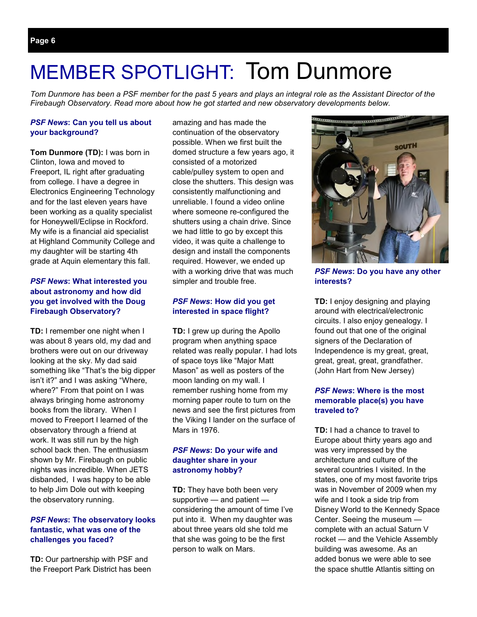# MEMBER SPOTLIGHT: Tom Dunmore

*Tom Dunmore has been a PSF member for the past 5 years and plays an integral role as the Assistant Director of the Firebaugh Observatory. Read more about how he got started and new observatory developments below.* 

#### *PSF News***: Can you tell us about your background?**

**Tom Dunmore (TD):** I was born in Clinton, Iowa and moved to Freeport, IL right after graduating from college. I have a degree in Electronics Engineering Technology and for the last eleven years have been working as a quality specialist for Honeywell/Eclipse in Rockford. My wife is a financial aid specialist at Highland Community College and my daughter will be starting 4th grade at Aquin elementary this fall.

#### *PSF News***: What interested you about astronomy and how did you get involved with the Doug Firebaugh Observatory?**

**TD:** I remember one night when I was about 8 years old, my dad and brothers were out on our driveway looking at the sky. My dad said something like "That's the big dipper isn't it?" and I was asking "Where, where?" From that point on I was always bringing home astronomy books from the library. When I moved to Freeport I learned of the observatory through a friend at work. It was still run by the high school back then. The enthusiasm shown by Mr. Firebaugh on public nights was incredible. When JETS disbanded, I was happy to be able to help Jim Dole out with keeping the observatory running.

#### *PSF News***: The observatory looks fantastic, what was one of the challenges you faced?**

**TD:** Our partnership with PSF and the Freeport Park District has been

amazing and has made the continuation of the observatory possible. When we first built the domed structure a few years ago, it consisted of a motorized cable/pulley system to open and close the shutters. This design was consistently malfunctioning and unreliable. I found a video online where someone re-configured the shutters using a chain drive. Since we had little to go by except this video, it was quite a challenge to design and install the components required. However, we ended up with a working drive that was much simpler and trouble free.

### *PSF News***: How did you get interested in space flight?**

**TD:** I grew up during the Apollo program when anything space related was really popular. I had lots of space toys like "Major Matt Mason" as well as posters of the moon landing on my wall. I remember rushing home from my morning paper route to turn on the news and see the first pictures from the Viking I lander on the surface of Mars in 1976.

#### *PSF News***: Do your wife and daughter share in your astronomy hobby?**

**TD:** They have both been very supportive — and patient considering the amount of time I've put into it. When my daughter was about three years old she told me that she was going to be the first person to walk on Mars.



*PSF News***: Do you have any other interests?** 

**TD:** I enjoy designing and playing around with electrical/electronic circuits. I also enjoy genealogy. I found out that one of the original signers of the Declaration of Independence is my great, great, great, great, great, grandfather. (John Hart from New Jersey)

### *PSF News***: Where is the most memorable place(s) you have traveled to?**

**TD:** I had a chance to travel to Europe about thirty years ago and was very impressed by the architecture and culture of the several countries I visited. In the states, one of my most favorite trips was in November of 2009 when my wife and I took a side trip from Disney World to the Kennedy Space Center. Seeing the museum complete with an actual Saturn V rocket — and the Vehicle Assembly building was awesome. As an added bonus we were able to see the space shuttle Atlantis sitting on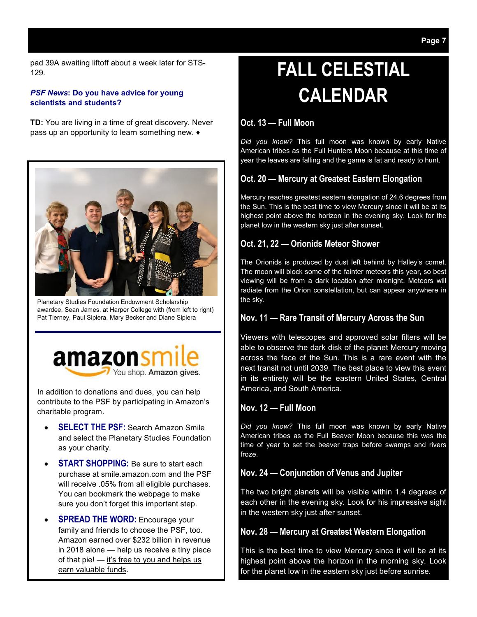pad 39A awaiting liftoff about a week later for STS-129.

#### *PSF News***: Do you have advice for young scientists and students?**

**TD:** You are living in a time of great discovery. Never pass up an opportunity to learn something new. ♦



Planetary Studies Foundation Endowment Scholarship awardee, Sean James, at Harper College with (from left to right) Pat Tierney, Paul Sipiera, Mary Becker and Diane Sipiera



In addition to donations and dues, you can help contribute to the PSF by participating in Amazon's charitable program.

- **SELECT THE PSF:** Search Amazon Smile and select the Planetary Studies Foundation as your charity.
- **START SHOPPING:** Be sure to start each purchase at smile.amazon.com and the PSF will receive .05% from all eligible purchases. You can bookmark the webpage to make sure you don't forget this important step.
- **SPREAD THE WORD:** Encourage your family and friends to choose the PSF, too. Amazon earned over \$232 billion in revenue in 2018 alone — help us receive a tiny piece of that pie!  $-$  it's free to you and helps us earn valuable funds.

# **FALL CELESTIAL CALENDAR**

## **Oct. 13 — Full Moon**

*Did you know?* This full moon was known by early Native American tribes as the Full Hunters Moon because at this time of year the leaves are falling and the game is fat and ready to hunt.

# **Oct. 20 — Mercury at Greatest Eastern Elongation**

Mercury reaches greatest eastern elongation of 24.6 degrees from the Sun. This is the best time to view Mercury since it will be at its highest point above the horizon in the evening sky. Look for the planet low in the western sky just after sunset.

# **Oct. 21, 22 — Orionids Meteor Shower**

The Orionids is produced by dust left behind by Halley's comet. The moon will block some of the fainter meteors this year, so best viewing will be from a dark location after midnight. Meteors will radiate from the Orion constellation, but can appear anywhere in the sky.

# **Nov. 11 — Rare Transit of Mercury Across the Sun**

Viewers with telescopes and approved solar filters will be able to observe the dark disk of the planet Mercury moving across the face of the Sun. This is a rare event with the next transit not until 2039. The best place to view this event in its entirety will be the eastern United States, Central America, and South America.

### **Nov. 12 — Full Moon**

*Did you know?* This full moon was known by early Native American tribes as the Full Beaver Moon because this was the time of year to set the beaver traps before swamps and rivers froze.

# **Nov. 24 — Conjunction of Venus and Jupiter**

The two bright planets will be visible within 1.4 degrees of each other in the evening sky. Look for his impressive sight in the western sky just after sunset.

# **Nov. 28 — Mercury at Greatest Western Elongation**

This is the best time to view Mercury since it will be at its highest point above the horizon in the morning sky. Look for the planet low in the eastern sky just before sunrise.